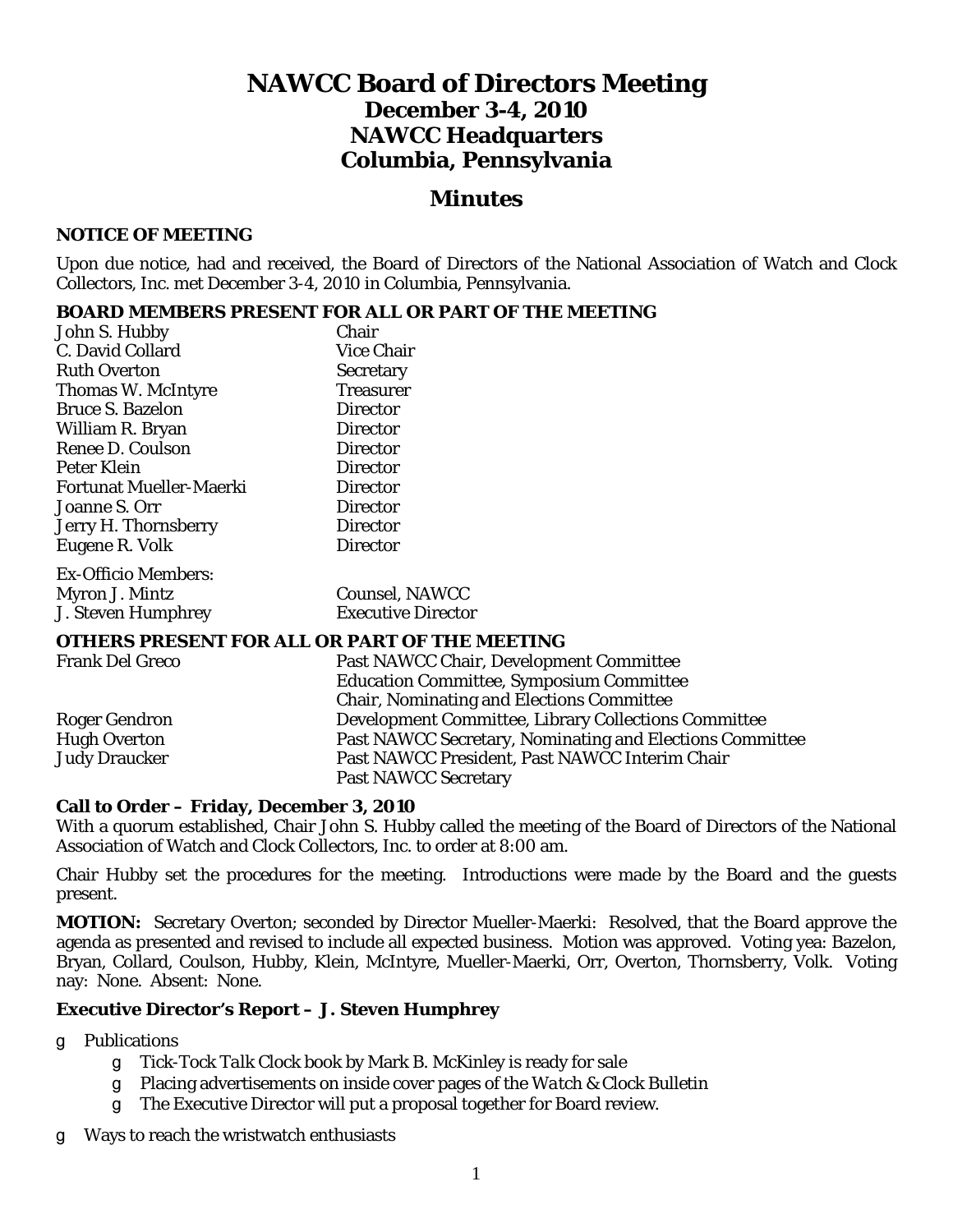# **NAWCC Board of Directors Meeting December 3-4, 2010 NAWCC Headquarters Columbia, Pennsylvania**

## *Minutes*

#### **NOTICE OF MEETING**

Upon due notice, had and received, the Board of Directors of the National Association of Watch and Clock Collectors, Inc. met December 3-4, 2010 in Columbia, Pennsylvania.

#### **BOARD MEMBERS PRESENT FOR ALL OR PART OF THE MEETING**

| John S. Hubby                  | Chair                     |
|--------------------------------|---------------------------|
| C. David Collard               | <b>Vice Chair</b>         |
| <b>Ruth Overton</b>            | <b>Secretary</b>          |
| Thomas W. McIntyre             | <b>Treasurer</b>          |
| <b>Bruce S. Bazelon</b>        | <b>Director</b>           |
| William R. Bryan               | <b>Director</b>           |
| Renee D. Coulson               | Director                  |
| Peter Klein                    | <b>Director</b>           |
| <b>Fortunat Mueller-Maerki</b> | Director                  |
| Joanne S. Orr                  | <b>Director</b>           |
| Jerry H. Thornsberry           | <b>Director</b>           |
| Eugene R. Volk                 | <b>Director</b>           |
| Ex-Officio Members:            |                           |
| Myron J. Mintz                 | <b>Counsel, NAWCC</b>     |
| J. Steven Humphrey             | <b>Executive Director</b> |

#### **OTHERS PRESENT FOR ALL OR PART OF THE MEETING**

| <b>Frank Del Greco</b> | Past NAWCC Chair, Development Committee                  |
|------------------------|----------------------------------------------------------|
|                        | <b>Education Committee, Symposium Committee</b>          |
|                        | <b>Chair, Nominating and Elections Committee</b>         |
| <b>Roger Gendron</b>   | Development Committee, Library Collections Committee     |
| <b>Hugh Overton</b>    | Past NAWCC Secretary, Nominating and Elections Committee |
| <b>Judy Draucker</b>   | Past NAWCC President, Past NAWCC Interim Chair           |
|                        | <b>Past NAWCC Secretary</b>                              |

#### **Call to Order – Friday, December 3, 2010**

With a quorum established, Chair John S. Hubby called the meeting of the Board of Directors of the National Association of Watch and Clock Collectors, Inc. to order at 8:00 am.

Chair Hubby set the procedures for the meeting. Introductions were made by the Board and the guests present.

**MOTION:** Secretary Overton; seconded by Director Mueller-Maerki: Resolved, that the Board approve the agenda as presented and revised to include all expected business. Motion was approved. Voting yea: Bazelon, Bryan, Collard, Coulson, Hubby, Klein, McIntyre, Mueller-Maerki, Orr, Overton, Thornsberry, Volk. Voting nay: None. Absent: None.

#### **Executive Director's Report – J. Steven Humphrey**

g Publications

- T *Tick-Tock Talk Clock* book by Mark B. McKinley is ready for sale
- T Placing advertisements on inside cover pages of the *Watch & Clock Bulletin*
- g The Executive Director will put a proposal together for Board review.
- g Ways to reach the wristwatch enthusiasts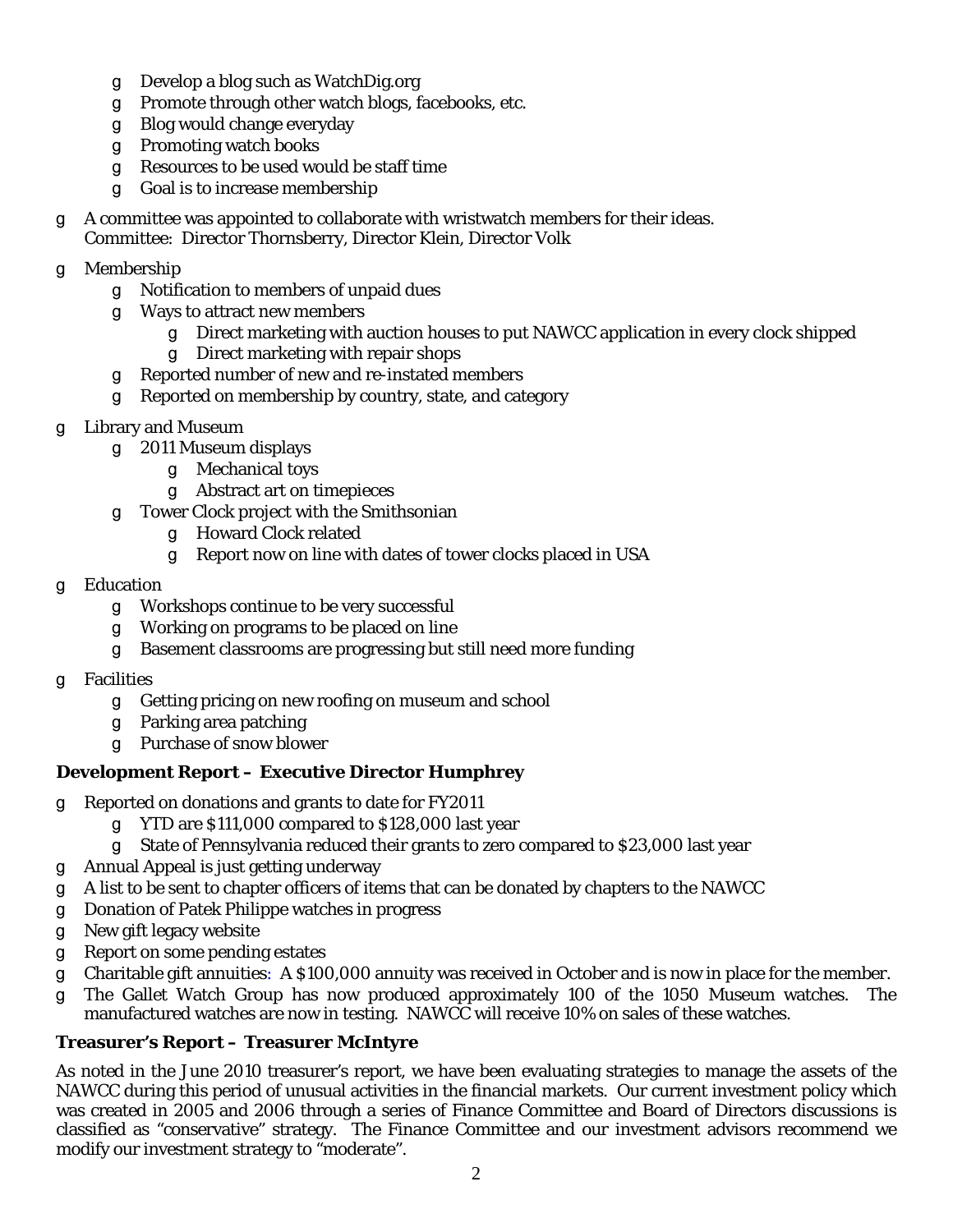- g Develop a blog such as WatchDig.org
- g Promote through other watch blogs, facebooks, etc.
- g Blog would change everyday
- g Promoting watch books
- g Resources to be used would be staff time
- g Goal is to increase membership
- T A committee was appointed to collaborate with wristwatch members for their ideas. Committee: Director Thornsberry, Director Klein, Director Volk
- g Membership
	- g Notification to members of unpaid dues
	- g Ways to attract new members
		- g Direct marketing with auction houses to put NAWCC application in every clock shipped
		- q Direct marketing with repair shops
	- g Reported number of new and re-instated members
	- g Reported on membership by country, state, and category
- g Library and Museum
	- g 2011 Museum displays
		- g Mechanical toys
		- g Abstract art on timepieces
	- g Tower Clock project with the Smithsonian
		- T Howard Clock related
		- g Report now on line with dates of tower clocks placed in USA
- g Education
	- g Workshops continue to be very successful
	- g Working on programs to be placed on line
	- g Basement classrooms are progressing but still need more funding
- g Facilities
	- g Getting pricing on new roofing on museum and school
	- g Parking area patching
	- q Purchase of snow blower

## **Development Report – Executive Director Humphrey**

- g Reported on donations and grants to date for FY2011
	- g  $YTD$  are \$111,000 compared to \$128,000 last year
	- g State of Pennsylvania reduced their grants to zero compared to \$23,000 last year
- g Annual Appeal is just getting underway
- T A list to be sent to chapter officers of items that can be donated by chapters to the NAWCC
- g Donation of Patek Philippe watches in progress
- g New gift legacy website
- g Report on some pending estates
- g Charitable gift annuities: A \$100,000 annuity was received in October and is now in place for the member.
- g The Gallet Watch Group has now produced approximately 100 of the 1050 Museum watches. The manufactured watches are now in testing. NAWCC will receive 10% on sales of these watches.

## **Treasurer's Report – Treasurer McIntyre**

As noted in the June 2010 treasurer's report, we have been evaluating strategies to manage the assets of the NAWCC during this period of unusual activities in the financial markets. Our current investment policy which was created in 2005 and 2006 through a series of Finance Committee and Board of Directors discussions is classified as "conservative" strategy. The Finance Committee and our investment advisors recommend we modify our investment strategy to "moderate".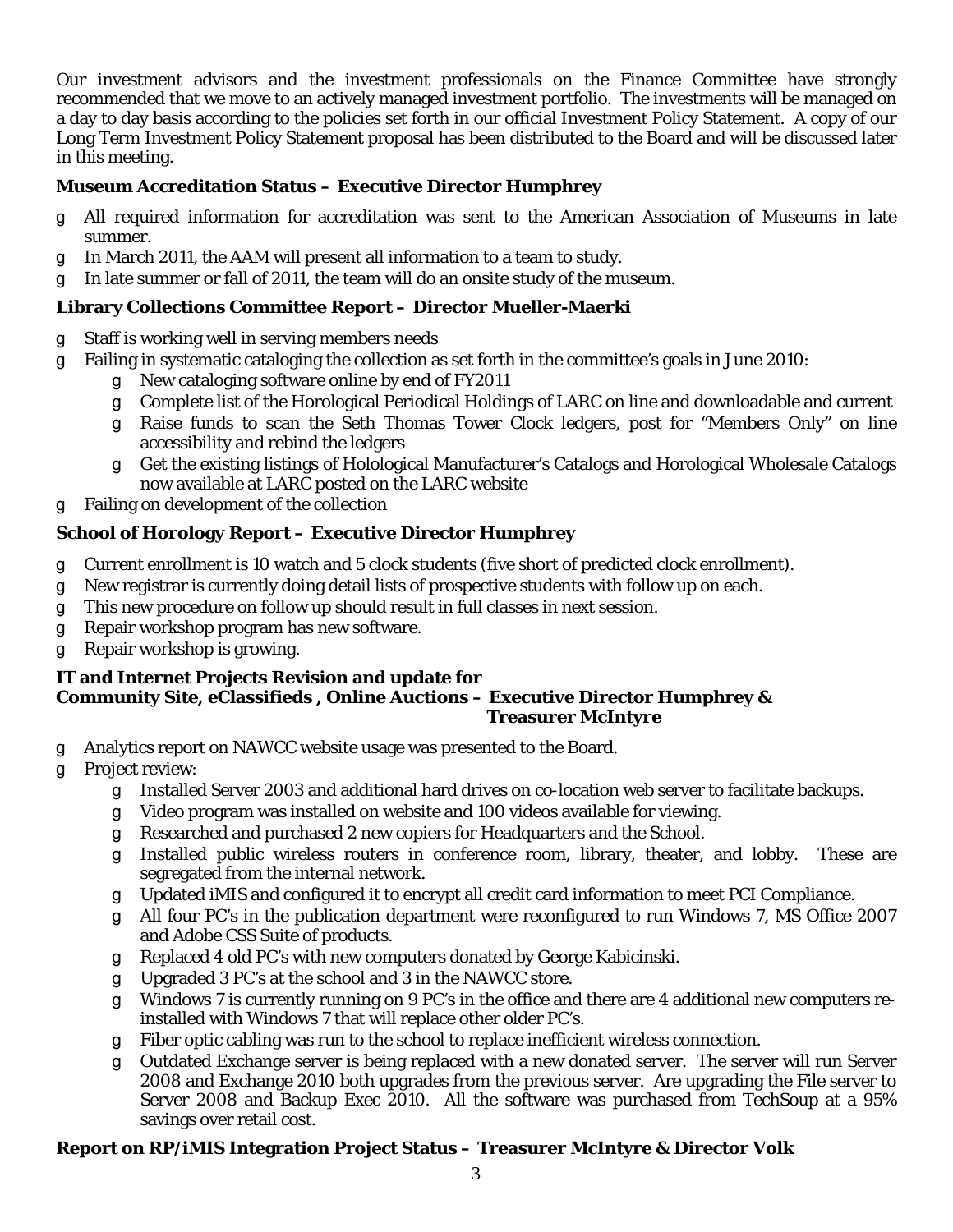Our investment advisors and the investment professionals on the Finance Committee have strongly recommended that we move to an actively managed investment portfolio. The investments will be managed on a day to day basis according to the policies set forth in our official Investment Policy Statement. A copy of our Long Term Investment Policy Statement proposal has been distributed to the Board and will be discussed later in this meeting.

## **Museum Accreditation Status – Executive Director Humphrey**

- T All required information for accreditation was sent to the American Association of Museums in late summer.
- q In March 2011, the AAM will present all information to a team to study.
- q In late summer or fall of 2011, the team will do an onsite study of the museum.

## **Library Collections Committee Report – Director Mueller-Maerki**

- g Staff is working well in serving members needs
- g Failing in systematic cataloging the collection as set forth in the committee's goals in June 2010:
	- g New cataloging software online by end of FY2011
	- g Complete list of the Horological Periodical Holdings of LARC on line and downloadable and current
	- T Raise funds to scan the Seth Thomas Tower Clock ledgers, post for "Members Only" on line accessibility and rebind the ledgers
	- T Get the existing listings of Holological Manufacturer's Catalogs and Horological Wholesale Catalogs now available at LARC posted on the LARC website
- g Failing on development of the collection

## **School of Horology Report – Executive Director Humphrey**

- g Current enrollment is 10 watch and 5 clock students (five short of predicted clock enrollment).
- g New registrar is currently doing detail lists of prospective students with follow up on each.
- g This new procedure on follow up should result in full classes in next session.
- g Repair workshop program has new software.
- g Repair workshop is growing.

#### **IT and Internet Projects Revision and update for Community Site, eClassifieds , Online Auctions – Executive Director Humphrey & Treasurer McIntyre**

- g Analytics report on NAWCC website usage was presented to the Board.
- g Project review:
	- g Installed Server 2003 and additional hard drives on co-location web server to facilitate backups.
	- g Video program was installed on website and 100 videos available for viewing.
	- g Researched and purchased 2 new copiers for Headquarters and the School.
	- g Installed public wireless routers in conference room, library, theater, and lobby. These are segregated from the internal network.
	- g Updated iMIS and configured it to encrypt all credit card information to meet PCI Compliance.
	- g All four PC's in the publication department were reconfigured to run Windows 7, MS Office 2007 and Adobe CSS Suite of products.
	- g Replaced 4 old PC's with new computers donated by George Kabicinski.
	- q Upgraded 3 PC's at the school and 3 in the NAWCC store.
	- g Windows 7 is currently running on 9 PC's in the office and there are 4 additional new computers reinstalled with Windows 7 that will replace other older PC's.
	- g Fiber optic cabling was run to the school to replace inefficient wireless connection.
	- T Outdated Exchange server is being replaced with a new donated server. The server will run Server 2008 and Exchange 2010 both upgrades from the previous server. Are upgrading the File server to Server 2008 and Backup Exec 2010. All the software was purchased from TechSoup at a 95% savings over retail cost.

## **Report on RP/iMIS Integration Project Status – Treasurer McIntyre & Director Volk**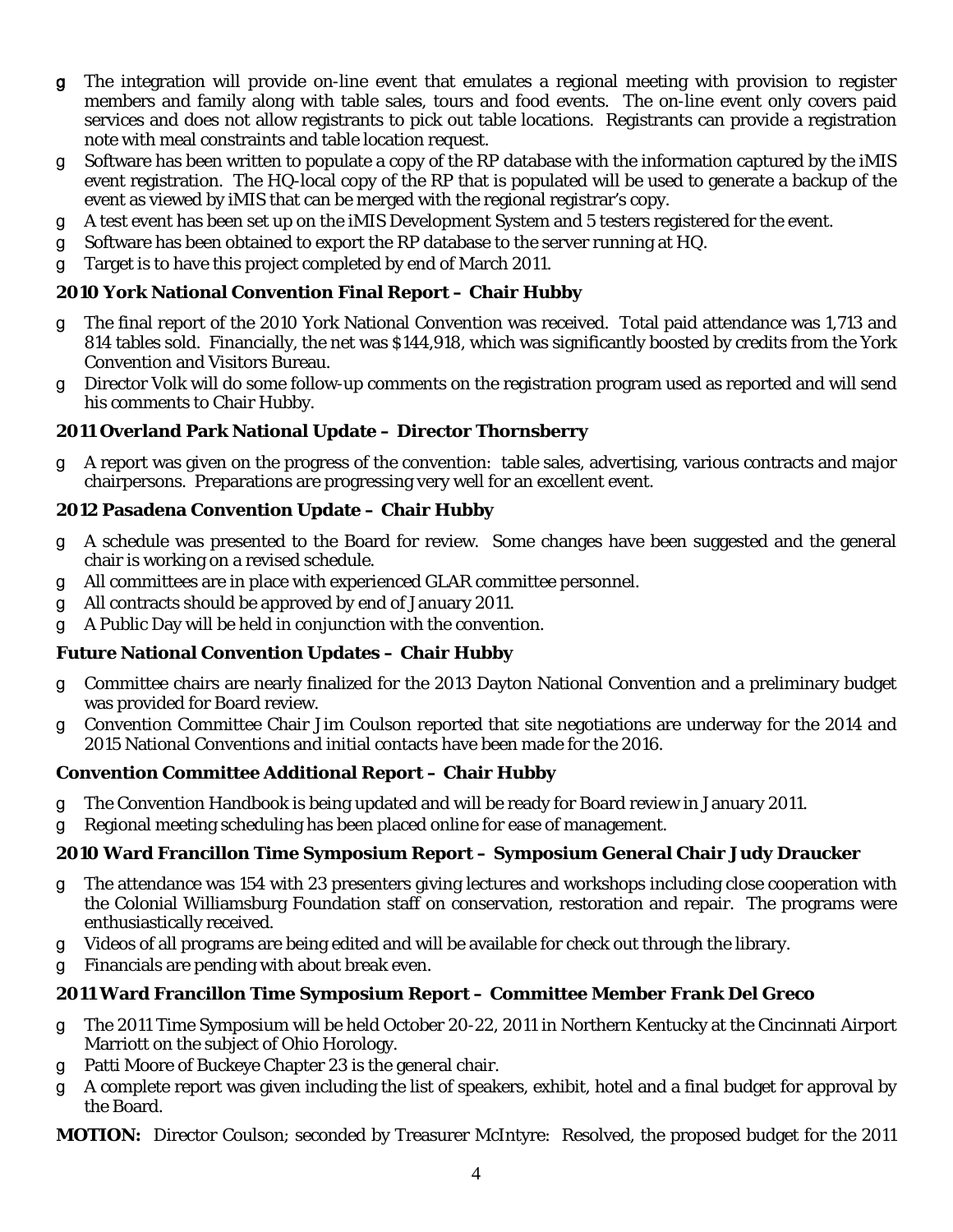- g The integration will provide on-line event that emulates a regional meeting with provision to register members and family along with table sales, tours and food events. The on-line event only covers paid services and does not allow registrants to pick out table locations. Registrants can provide a registration note with meal constraints and table location request.
- T Software has been written to populate a copy of the RP database with the information captured by the iMIS event registration. The HQ-local copy of the RP that is populated will be used to generate a backup of the event as viewed by iMIS that can be merged with the regional registrar's copy.
- g A test event has been set up on the iMIS Development System and 5 testers registered for the event.
- g Software has been obtained to export the RP database to the server running at HQ.
- g Target is to have this project completed by end of March 2011.

#### **2010 York National Convention Final Report – Chair Hubby**

- g The final report of the 2010 York National Convention was received. Total paid attendance was 1,713 and 814 tables sold. Financially, the net was \$144,918, which was significantly boosted by credits from the York Convention and Visitors Bureau.
- Director Volk will do some follow-up comments on the registration program used as reported and will send his comments to Chair Hubby.

#### **2011 Overland Park National Update – Director Thornsberry**

T A report was given on the progress of the convention: table sales, advertising, various contracts and major chairpersons. Preparations are progressing very well for an excellent event.

#### **2012 Pasadena Convention Update – Chair Hubby**

- g A schedule was presented to the Board for review. Some changes have been suggested and the general chair is working on a revised schedule.
- g All committees are in place with experienced GLAR committee personnel.
- g All contracts should be approved by end of January 2011.
- g A Public Day will be held in conjunction with the convention.

### **Future National Convention Updates – Chair Hubby**

- T Committee chairs are nearly finalized for the 2013 Dayton National Convention and a preliminary budget was provided for Board review.
- g Convention Committee Chair Jim Coulson reported that site negotiations are underway for the 2014 and 2015 National Conventions and initial contacts have been made for the 2016.

#### **Convention Committee Additional Report – Chair Hubby**

- g The Convention Handbook is being updated and will be ready for Board review in January 2011.
- g Regional meeting scheduling has been placed online for ease of management.

### **2010 Ward Francillon Time Symposium Report – Symposium General Chair Judy Draucker**

- g The attendance was 154 with 23 presenters giving lectures and workshops including close cooperation with the Colonial Williamsburg Foundation staff on conservation, restoration and repair. The programs were enthusiastically received.
- g Videos of all programs are being edited and will be available for check out through the library.
- g Financials are pending with about break even.

#### **2011 Ward Francillon Time Symposium Report – Committee Member Frank Del Greco**

- g The 2011 Time Symposium will be held October 20-22, 2011 in Northern Kentucky at the Cincinnati Airport Marriott on the subject of Ohio Horology.
- g Patti Moore of Buckeye Chapter 23 is the general chair.
- T A complete report was given including the list of speakers, exhibit, hotel and a final budget for approval by the Board.

**MOTION:** Director Coulson; seconded by Treasurer McIntyre: Resolved, the proposed budget for the 2011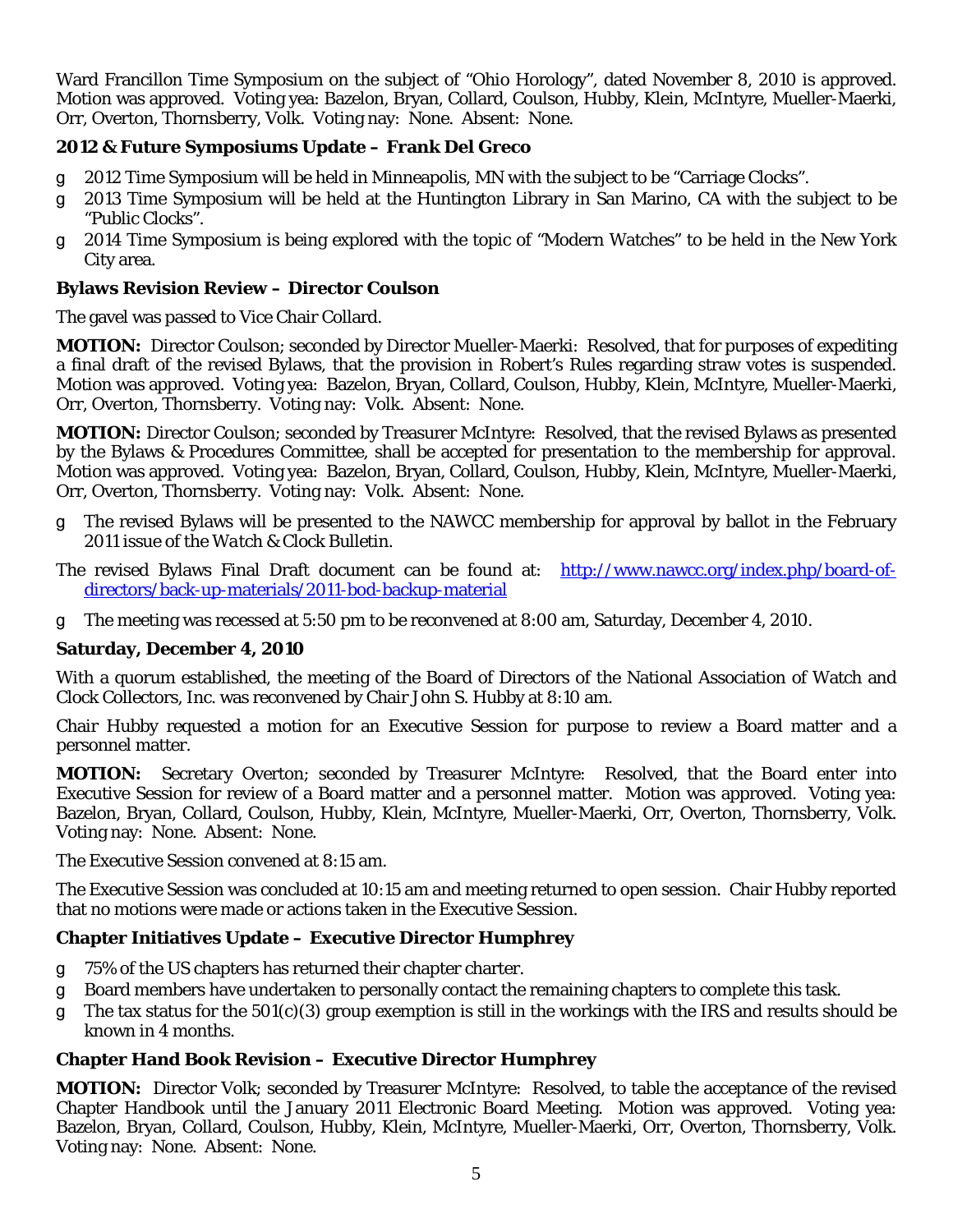Ward Francillon Time Symposium on the subject of "Ohio Horology", dated November 8, 2010 is approved. Motion was approved. Voting yea: Bazelon, Bryan, Collard, Coulson, Hubby, Klein, McIntyre, Mueller-Maerki, Orr, Overton, Thornsberry, Volk. Voting nay: None. Absent: None.

#### **2012 & Future Symposiums Update – Frank Del Greco**

- g 2012 Time Symposium will be held in Minneapolis, MN with the subject to be "Carriage Clocks".
- g 2013 Time Symposium will be held at the Huntington Library in San Marino, CA with the subject to be "Public Clocks".
- g 2014 Time Symposium is being explored with the topic of "Modern Watches" to be held in the New York City area.

#### **Bylaws Revision Review – Director Coulson**

The gavel was passed to Vice Chair Collard.

**MOTION:** Director Coulson; seconded by Director Mueller-Maerki: Resolved, that for purposes of expediting a final draft of the revised Bylaws, that the provision in Robert's Rules regarding straw votes is suspended. Motion was approved. Voting yea: Bazelon, Bryan, Collard, Coulson, Hubby, Klein, McIntyre, Mueller-Maerki, Orr, Overton, Thornsberry. Voting nay: Volk. Absent: None.

**MOTION:** Director Coulson; seconded by Treasurer McIntyre: Resolved, that the revised Bylaws as presented by the Bylaws & Procedures Committee, shall be accepted for presentation to the membership for approval. Motion was approved. Voting yea: Bazelon, Bryan, Collard, Coulson, Hubby, Klein, McIntyre, Mueller-Maerki, Orr, Overton, Thornsberry. Voting nay: Volk. Absent: None.

- g The revised Bylaws will be presented to the NAWCC membership for approval by ballot in the February 2011 issue of the *Watch & Clock Bulletin.*
- The revised Bylaws Final Draft document can be found at: [http://www.nawcc.org/index.php/board-of](http://www.nawcc.org/index.php/board-of-directors/back-up-materials/2011-bod-backup-material)[directors/back-up-materials/2011-bod-backup-material](http://www.nawcc.org/index.php/board-of-directors/back-up-materials/2011-bod-backup-material)
- g The meeting was recessed at 5:50 pm to be reconvened at 8:00 am, Saturday, December 4, 2010.

### **Saturday, December 4, 2010**

With a quorum established, the meeting of the Board of Directors of the National Association of Watch and Clock Collectors, Inc. was reconvened by Chair John S. Hubby at 8:10 am.

Chair Hubby requested a motion for an Executive Session for purpose to review a Board matter and a personnel matter.

**MOTION:** Secretary Overton; seconded by Treasurer McIntyre: Resolved, that the Board enter into Executive Session for review of a Board matter and a personnel matter. Motion was approved. Voting yea: Bazelon, Bryan, Collard, Coulson, Hubby, Klein, McIntyre, Mueller-Maerki, Orr, Overton, Thornsberry, Volk. Voting nay: None. Absent: None.

The Executive Session convened at 8:15 am.

The Executive Session was concluded at 10:15 am and meeting returned to open session. Chair Hubby reported that no motions were made or actions taken in the Executive Session.

#### **Chapter Initiatives Update – Executive Director Humphrey**

- g 75% of the US chapters has returned their chapter charter.
- T Board members have undertaken to personally contact the remaining chapters to complete this task.
- $q$  The tax status for the 501(c)(3) group exemption is still in the workings with the IRS and results should be known in 4 months.

### **Chapter Hand Book Revision – Executive Director Humphrey**

**MOTION:** Director Volk; seconded by Treasurer McIntyre: Resolved, to table the acceptance of the revised Chapter Handbook until the January 2011 Electronic Board Meeting. Motion was approved. Voting yea: Bazelon, Bryan, Collard, Coulson, Hubby, Klein, McIntyre, Mueller-Maerki, Orr, Overton, Thornsberry, Volk. Voting nay: None. Absent: None.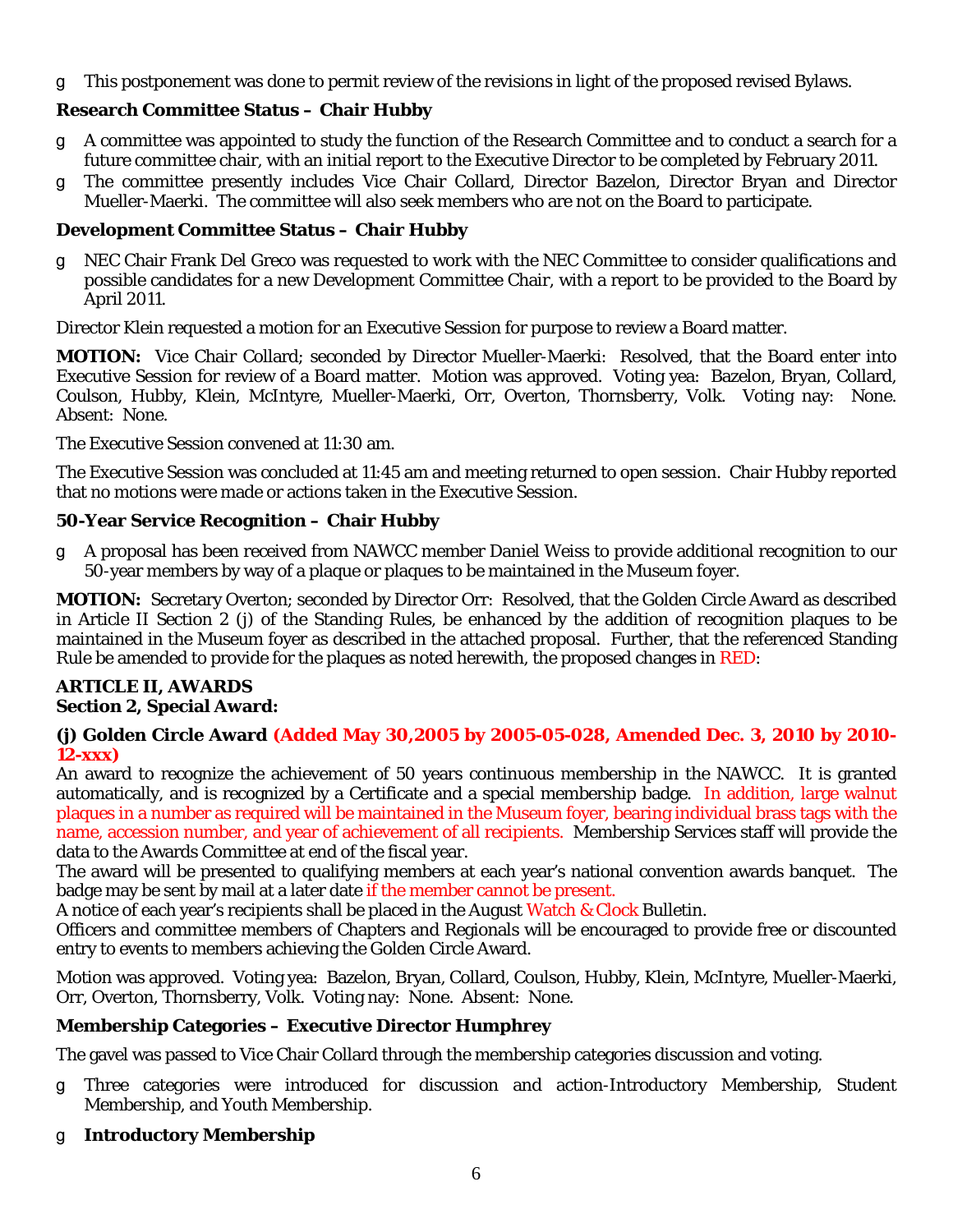g This postponement was done to permit review of the revisions in light of the proposed revised Bylaws.

## **Research Committee Status – Chair Hubby**

- A committee was appointed to study the function of the Research Committee and to conduct a search for a future committee chair, with an initial report to the Executive Director to be completed by February 2011.
- g The committee presently includes Vice Chair Collard, Director Bazelon, Director Bryan and Director Mueller-Maerki. The committee will also seek members who are not on the Board to participate.

#### **Development Committee Status – Chair Hubby**

NEC Chair Frank Del Greco was requested to work with the NEC Committee to consider qualifications and possible candidates for a new Development Committee Chair, with a report to be provided to the Board by April 2011.

Director Klein requested a motion for an Executive Session for purpose to review a Board matter.

**MOTION:** Vice Chair Collard; seconded by Director Mueller-Maerki: Resolved, that the Board enter into Executive Session for review of a Board matter. Motion was approved. Voting yea: Bazelon, Bryan, Collard, Coulson, Hubby, Klein, McIntyre, Mueller-Maerki, Orr, Overton, Thornsberry, Volk. Voting nay: None. Absent: None.

The Executive Session convened at 11:30 am.

The Executive Session was concluded at 11:45 am and meeting returned to open session. Chair Hubby reported that no motions were made or actions taken in the Executive Session.

#### **50-Year Service Recognition – Chair Hubby**

A proposal has been received from NAWCC member Daniel Weiss to provide additional recognition to our 50-year members by way of a plaque or plaques to be maintained in the Museum foyer.

**MOTION:** Secretary Overton; seconded by Director Orr: Resolved, that the Golden Circle Award as described in Article II Section 2 (j) of the Standing Rules, be enhanced by the addition of recognition plaques to be maintained in the Museum foyer as described in the attached proposal. Further, that the referenced Standing Rule be amended to provide for the plaques as noted herewith, the proposed changes in RED:

#### **ARTICLE II, AWARDS Section 2, Special Award:**

#### **(j) Golden Circle Award (Added May 30,2005 by 2005-05-028, Amended Dec. 3, 2010 by 2010- 12-xxx)**

An award to recognize the achievement of 50 years continuous membership in the NAWCC. It is granted automatically, and is recognized by a Certificate and a special membership badge. In addition, large walnut plaques in a number as required will be maintained in the Museum foyer, bearing individual brass tags with the name, accession number, and year of achievement of all recipients. Membership Services staff will provide the data to the Awards Committee at end of the fiscal year.

The award will be presented to qualifying members at each year's national convention awards banquet. The badge may be sent by mail at a later date if the member cannot be present.

A notice of each year's recipients shall be placed in the August Watch & Clock Bulletin.

Officers and committee members of Chapters and Regionals will be encouraged to provide free or discounted entry to events to members achieving the Golden Circle Award.

Motion was approved. Voting yea: Bazelon, Bryan, Collard, Coulson, Hubby, Klein, McIntyre, Mueller-Maerki, Orr, Overton, Thornsberry, Volk. Voting nay: None. Absent: None.

### **Membership Categories – Executive Director Humphrey**

The gavel was passed to Vice Chair Collard through the membership categories discussion and voting.

- g Three categories were introduced for discussion and action-Introductory Membership, Student Membership, and Youth Membership.
- T **Introductory Membership**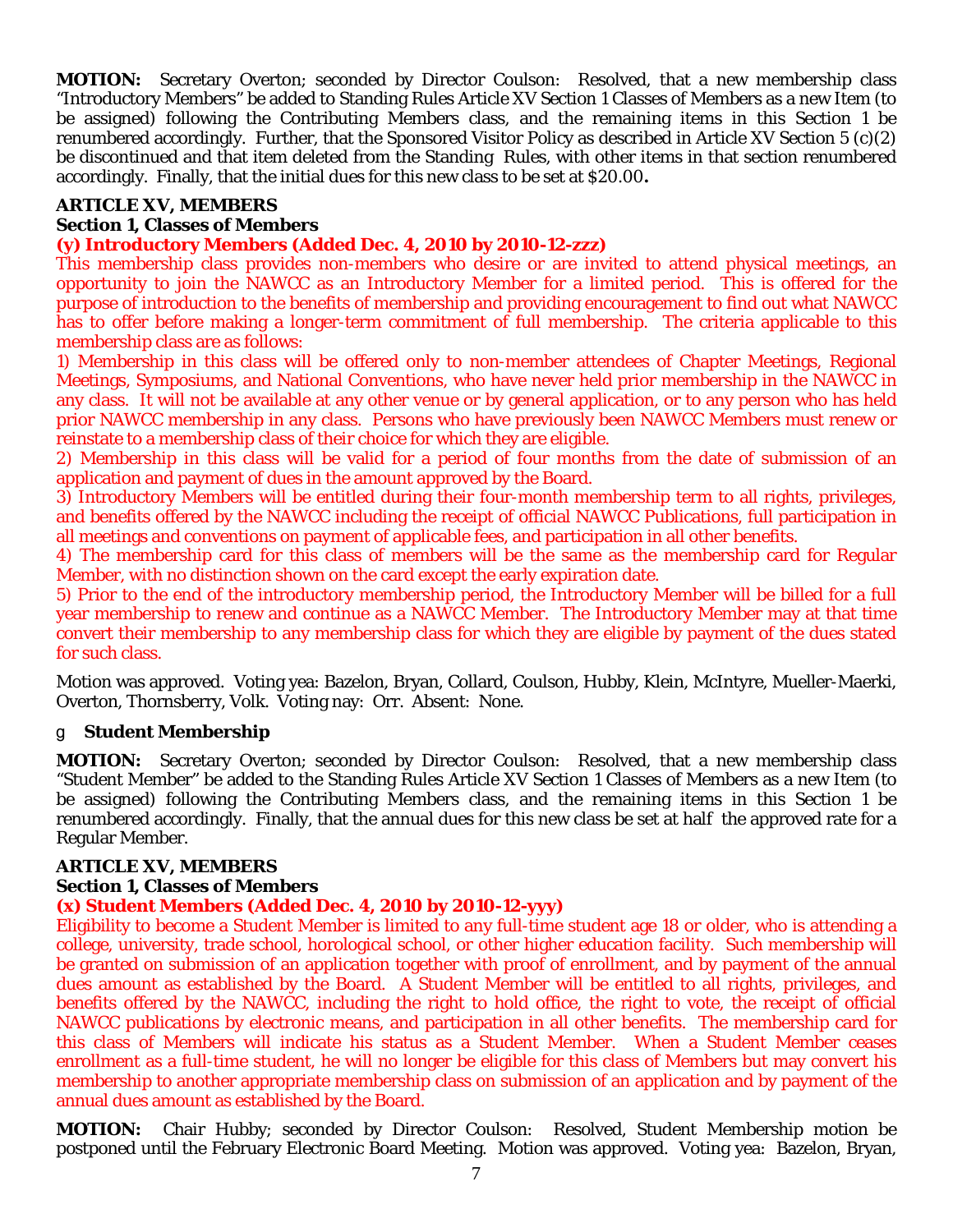**MOTION:** Secretary Overton; seconded by Director Coulson: Resolved, that a new membership class "Introductory Members" be added to Standing Rules Article XV Section 1 Classes of Members as a new Item (to be assigned) following the Contributing Members class, and the remaining items in this Section 1 be renumbered accordingly. Further, that the Sponsored Visitor Policy as described in Article XV Section 5 (c)(2) be discontinued and that item deleted from the Standing Rules, with other items in that section renumbered accordingly. Finally, that the initial dues for this new class to be set at \$20.00**.** 

#### **ARTICLE XV, MEMBERS Section 1, Classes of Members**

#### **(y) Introductory Members (Added Dec. 4, 2010 by 2010-12-zzz)**

This membership class provides non-members who desire or are invited to attend physical meetings, an opportunity to join the NAWCC as an Introductory Member for a limited period. This is offered for the purpose of introduction to the benefits of membership and providing encouragement to find out what NAWCC has to offer before making a longer-term commitment of full membership. The criteria applicable to this membership class are as follows:

1) Membership in this class will be offered only to non-member attendees of Chapter Meetings, Regional Meetings, Symposiums, and National Conventions, who have never held prior membership in the NAWCC in any class. It will not be available at any other venue or by general application, or to any person who has held prior NAWCC membership in any class. Persons who have previously been NAWCC Members must renew or reinstate to a membership class of their choice for which they are eligible.

2) Membership in this class will be valid for a period of four months from the date of submission of an application and payment of dues in the amount approved by the Board.

3) Introductory Members will be entitled during their four-month membership term to all rights, privileges, and benefits offered by the NAWCC including the receipt of official NAWCC Publications, full participation in all meetings and conventions on payment of applicable fees, and participation in all other benefits.

4) The membership card for this class of members will be the same as the membership card for Regular Member, with no distinction shown on the card except the early expiration date.

5) Prior to the end of the introductory membership period, the Introductory Member will be billed for a full year membership to renew and continue as a NAWCC Member. The Introductory Member may at that time convert their membership to any membership class for which they are eligible by payment of the dues stated for such class.

Motion was approved. Voting yea: Bazelon, Bryan, Collard, Coulson, Hubby, Klein, McIntyre, Mueller-Maerki, Overton, Thornsberry, Volk. Voting nay: Orr. Absent: None.

#### T **Student Membership**

**MOTION:** Secretary Overton; seconded by Director Coulson: Resolved, that a new membership class "Student Member" be added to the Standing Rules Article XV Section 1 Classes of Members as a new Item (to be assigned) following the Contributing Members class, and the remaining items in this Section 1 be renumbered accordingly. Finally, that the annual dues for this new class be set at half the approved rate for a Regular Member.

#### **ARTICLE XV, MEMBERS**

#### **Section 1, Classes of Members**

#### **(x) Student Members (Added Dec. 4, 2010 by 2010-12-yyy)**

Eligibility to become a Student Member is limited to any full-time student age 18 or older, who is attending a college, university, trade school, horological school, or other higher education facility. Such membership will be granted on submission of an application together with proof of enrollment, and by payment of the annual dues amount as established by the Board. A Student Member will be entitled to all rights, privileges, and benefits offered by the NAWCC, including the right to hold office, the right to vote, the receipt of official NAWCC publications by electronic means, and participation in all other benefits. The membership card for this class of Members will indicate his status as a Student Member. When a Student Member ceases enrollment as a full-time student, he will no longer be eligible for this class of Members but may convert his membership to another appropriate membership class on submission of an application and by payment of the annual dues amount as established by the Board.

**MOTION:** Chair Hubby; seconded by Director Coulson: Resolved, Student Membership motion be postponed until the February Electronic Board Meeting. Motion was approved. Voting yea: Bazelon, Bryan,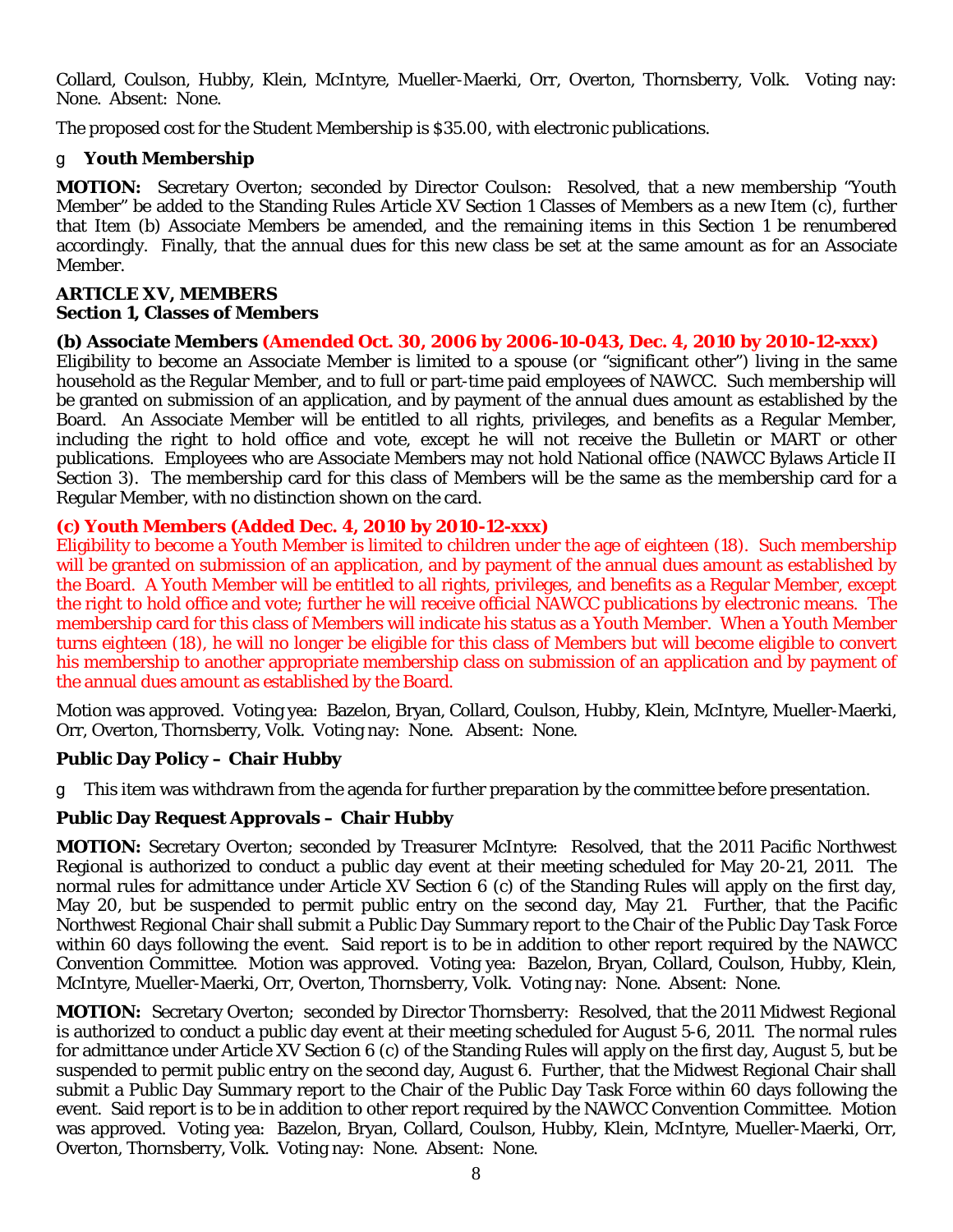Collard, Coulson, Hubby, Klein, McIntyre, Mueller-Maerki, Orr, Overton, Thornsberry, Volk. Voting nay: None. Absent: None.

The proposed cost for the Student Membership is \$35.00, with electronic publications.

### T **Youth Membership**

**MOTION:** Secretary Overton; seconded by Director Coulson: Resolved, that a new membership "Youth Member" be added to the Standing Rules Article XV Section 1 Classes of Members as a new Item (c), further that Item (b) Associate Members be amended, and the remaining items in this Section 1 be renumbered accordingly. Finally, that the annual dues for this new class be set at the same amount as for an Associate Member.

### **ARTICLE XV, MEMBERS**

### **Section 1, Classes of Members**

### **(b) Associate Members (Amended Oct. 30, 2006 by 2006-10-043, Dec. 4, 2010 by 2010-12-xxx)**

Eligibility to become an Associate Member is limited to a spouse (or "significant other") living in the same household as the Regular Member, and to full or part-time paid employees of NAWCC. Such membership will be granted on submission of an application, and by payment of the annual dues amount as established by the Board. An Associate Member will be entitled to all rights, privileges, and benefits as a Regular Member, including the right to hold office and vote, except he will not receive the Bulletin or MART or other publications. Employees who are Associate Members may not hold National office (NAWCC Bylaws Article II Section 3). The membership card for this class of Members will be the same as the membership card for a Regular Member, with no distinction shown on the card.

### **(c) Youth Members (Added Dec. 4, 2010 by 2010-12-xxx)**

Eligibility to become a Youth Member is limited to children under the age of eighteen (18). Such membership will be granted on submission of an application, and by payment of the annual dues amount as established by the Board. A Youth Member will be entitled to all rights, privileges, and benefits as a Regular Member, except the right to hold office and vote; further he will receive official NAWCC publications by electronic means. The membership card for this class of Members will indicate his status as a Youth Member. When a Youth Member turns eighteen (18), he will no longer be eligible for this class of Members but will become eligible to convert his membership to another appropriate membership class on submission of an application and by payment of the annual dues amount as established by the Board.

Motion was approved. Voting yea: Bazelon, Bryan, Collard, Coulson, Hubby, Klein, McIntyre, Mueller-Maerki, Orr, Overton, Thornsberry, Volk. Voting nay: None. Absent: None.

### **Public Day Policy – Chair Hubby**

T This item was withdrawn from the agenda for further preparation by the committee before presentation.

### **Public Day Request Approvals – Chair Hubby**

**MOTION:** Secretary Overton; seconded by Treasurer McIntyre: Resolved, that the 2011 Pacific Northwest Regional is authorized to conduct a public day event at their meeting scheduled for May 20-21, 2011. The normal rules for admittance under Article XV Section 6 (c) of the Standing Rules will apply on the first day, May 20, but be suspended to permit public entry on the second day, May 21. Further, that the Pacific Northwest Regional Chair shall submit a Public Day Summary report to the Chair of the Public Day Task Force within 60 days following the event. Said report is to be in addition to other report required by the NAWCC Convention Committee. Motion was approved. Voting yea: Bazelon, Bryan, Collard, Coulson, Hubby, Klein, McIntyre, Mueller-Maerki, Orr, Overton, Thornsberry, Volk. Voting nay: None. Absent: None.

**MOTION:** Secretary Overton; seconded by Director Thornsberry: Resolved, that the 2011 Midwest Regional is authorized to conduct a public day event at their meeting scheduled for August 5-6, 2011. The normal rules for admittance under Article XV Section 6 (c) of the Standing Rules will apply on the first day, August 5, but be suspended to permit public entry on the second day, August 6. Further, that the Midwest Regional Chair shall submit a Public Day Summary report to the Chair of the Public Day Task Force within 60 days following the event. Said report is to be in addition to other report required by the NAWCC Convention Committee. Motion was approved. Voting yea: Bazelon, Bryan, Collard, Coulson, Hubby, Klein, McIntyre, Mueller-Maerki, Orr, Overton, Thornsberry, Volk. Voting nay: None. Absent: None.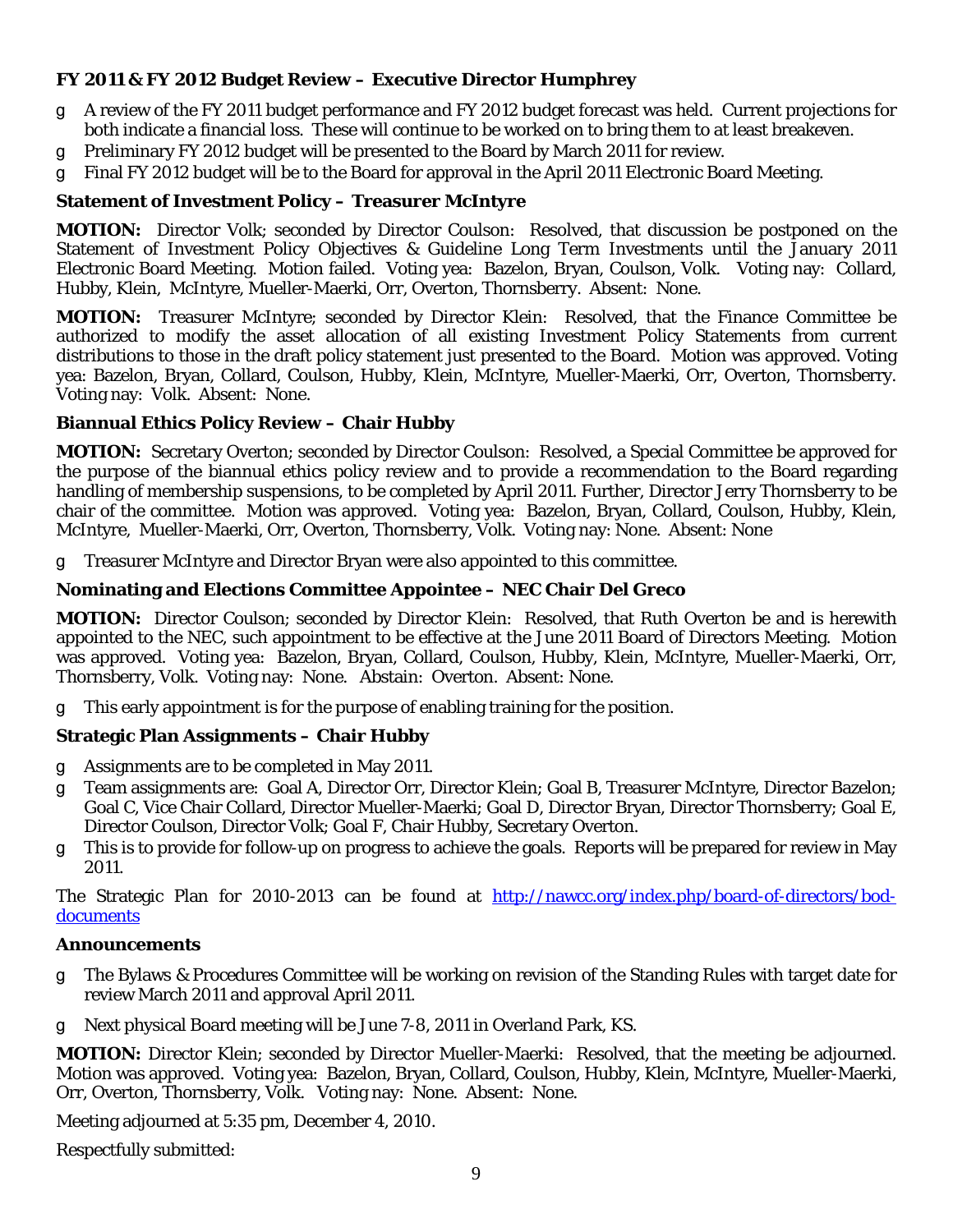#### **FY 2011 & FY 2012 Budget Review – Executive Director Humphrey**

- g A review of the FY 2011 budget performance and FY 2012 budget forecast was held. Current projections for both indicate a financial loss. These will continue to be worked on to bring them to at least breakeven.
- g Preliminary FY 2012 budget will be presented to the Board by March 2011 for review.
- T Final FY 2012 budget will be to the Board for approval in the April 2011 Electronic Board Meeting.

#### **Statement of Investment Policy – Treasurer McIntyre**

**MOTION:** Director Volk; seconded by Director Coulson: Resolved, that discussion be postponed on the Statement of Investment Policy Objectives & Guideline Long Term Investments until the January 2011 Electronic Board Meeting. Motion failed. Voting yea: Bazelon, Bryan, Coulson, Volk. Voting nay: Collard, Hubby, Klein, McIntyre, Mueller-Maerki, Orr, Overton, Thornsberry. Absent: None.

**MOTION:** Treasurer McIntyre; seconded by Director Klein: Resolved, that the Finance Committee be authorized to modify the asset allocation of all existing Investment Policy Statements from current distributions to those in the draft policy statement just presented to the Board. Motion was approved. Voting yea: Bazelon, Bryan, Collard, Coulson, Hubby, Klein, McIntyre, Mueller-Maerki, Orr, Overton, Thornsberry. Voting nay: Volk. Absent: None.

#### **Biannual Ethics Policy Review – Chair Hubby**

**MOTION:** Secretary Overton; seconded by Director Coulson: Resolved, a Special Committee be approved for the purpose of the biannual ethics policy review and to provide a recommendation to the Board regarding handling of membership suspensions, to be completed by April 2011. Further, Director Jerry Thornsberry to be chair of the committee. Motion was approved. Voting yea: Bazelon, Bryan, Collard, Coulson, Hubby, Klein, McIntyre, Mueller-Maerki, Orr, Overton, Thornsberry, Volk. Voting nay: None. Absent: None

T Treasurer McIntyre and Director Bryan were also appointed to this committee.

#### **Nominating and Elections Committee Appointee – NEC Chair Del Greco**

**MOTION:** Director Coulson; seconded by Director Klein: Resolved, that Ruth Overton be and is herewith appointed to the NEC, such appointment to be effective at the June 2011 Board of Directors Meeting. Motion was approved. Voting yea: Bazelon, Bryan, Collard, Coulson, Hubby, Klein, McIntyre, Mueller-Maerki, Orr, Thornsberry, Volk. Voting nay: None. Abstain: Overton. Absent: None.

T This early appointment is for the purpose of enabling training for the position.

#### **Strategic Plan Assignments – Chair Hubby**

- g Assignments are to be completed in May 2011.
- g Team assignments are: Goal A, Director Orr, Director Klein; Goal B, Treasurer McIntyre, Director Bazelon; Goal C, Vice Chair Collard, Director Mueller-Maerki; Goal D, Director Bryan, Director Thornsberry; Goal E, Director Coulson, Director Volk; Goal F, Chair Hubby, Secretary Overton.
- T This is to provide for follow-up on progress to achieve the goals. Reports will be prepared for review in May 2011.

The Strategic Plan for 2010-2013 can be found at [http://nawcc.org/index.php/board-of-directors/bod](http://nawcc.org/index.php/board-of-directors/bod-documents)[documents](http://nawcc.org/index.php/board-of-directors/bod-documents)

#### **Announcements**

- g The Bylaws & Procedures Committee will be working on revision of the Standing Rules with target date for review March 2011 and approval April 2011.
- g Next physical Board meeting will be June 7-8, 2011 in Overland Park, KS.

**MOTION:** Director Klein; seconded by Director Mueller-Maerki: Resolved, that the meeting be adjourned. Motion was approved. Voting yea: Bazelon, Bryan, Collard, Coulson, Hubby, Klein, McIntyre, Mueller-Maerki, Orr, Overton, Thornsberry, Volk. Voting nay: None. Absent: None.

Meeting adjourned at 5:35 pm, December 4, 2010.

Respectfully submitted: